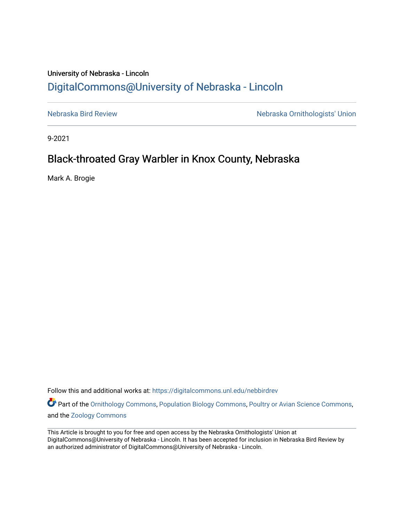## University of Nebraska - Lincoln [DigitalCommons@University of Nebraska - Lincoln](https://digitalcommons.unl.edu/)

[Nebraska Bird Review](https://digitalcommons.unl.edu/nebbirdrev) [Nebraska Ornithologists' Union](https://digitalcommons.unl.edu/nebornithologists) 

9-2021

## Black-throated Gray Warbler in Knox County, Nebraska

Mark A. Brogie

Follow this and additional works at: [https://digitalcommons.unl.edu/nebbirdrev](https://digitalcommons.unl.edu/nebbirdrev?utm_source=digitalcommons.unl.edu%2Fnebbirdrev%2F1504&utm_medium=PDF&utm_campaign=PDFCoverPages)

Part of the [Ornithology Commons,](http://network.bepress.com/hgg/discipline/1190?utm_source=digitalcommons.unl.edu%2Fnebbirdrev%2F1504&utm_medium=PDF&utm_campaign=PDFCoverPages) [Population Biology Commons](http://network.bepress.com/hgg/discipline/19?utm_source=digitalcommons.unl.edu%2Fnebbirdrev%2F1504&utm_medium=PDF&utm_campaign=PDFCoverPages), [Poultry or Avian Science Commons,](http://network.bepress.com/hgg/discipline/80?utm_source=digitalcommons.unl.edu%2Fnebbirdrev%2F1504&utm_medium=PDF&utm_campaign=PDFCoverPages) and the [Zoology Commons](http://network.bepress.com/hgg/discipline/81?utm_source=digitalcommons.unl.edu%2Fnebbirdrev%2F1504&utm_medium=PDF&utm_campaign=PDFCoverPages) 

This Article is brought to you for free and open access by the Nebraska Ornithologists' Union at DigitalCommons@University of Nebraska - Lincoln. It has been accepted for inclusion in Nebraska Bird Review by an authorized administrator of DigitalCommons@University of Nebraska - Lincoln.